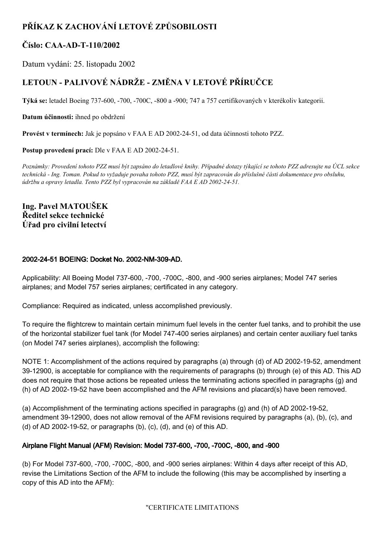# **PŘÍKAZ K ZACHOVÁNÍ LETOVÉ ZPŮSOBILOSTI**

# **Číslo: CAAADT110/2002**

Datum vydání: 25. listopadu 2002

# **LETOUN PALIVOVÉ NÁDRŽE ZMĚNA V LETOVÉ PŘÍRUČCE**

Týká se: letadel Boeing 737-600, -700, -700C, -800 a -900; 747 a 757 certifikovaných v kterékoliv kategorii.

**Datum účinnosti:** ihned po obdržení

**Provést v termínech:** Jak je popsáno v FAA E AD 20022451, od data účinnosti tohoto PZZ.

**Postup provedení prací:** Dle v FAA E AD 2002-24-51.

Poznámky: Provedení tohoto PZZ musí být zapsáno do letadlové knihy. Případné dotazy týkající se tohoto PZZ adresujte na ÚCL sekce technická - Ing. Toman. Pokud to vyžaduje povaha tohoto PZZ, musí být zapracován do příslušné části dokumentace pro obsluhu, *údržbu a opravy letadla. Tento PZZ byl vypracován na základě FAA E AD 20022451.*

# **Ing. Pavel MATOUŠEK Ředitel sekce technické Úřad pro civilní letectví**

# 2002-24-51 BOEING: Docket No. 2002-NM-309-AD.

Applicability: All Boeing Model 737-600, -700, -700C, -800, and -900 series airplanes; Model 747 series airplanes; and Model 757 series airplanes; certificated in any category.

Compliance: Required as indicated, unless accomplished previously.

To require the flightcrew to maintain certain minimum fuel levels in the center fuel tanks, and to prohibit the use of the horizontal stabilizer fuel tank (for Model 747-400 series airplanes) and certain center auxiliary fuel tanks (on Model 747 series airplanes), accomplish the following:

NOTE 1: Accomplishment of the actions required by paragraphs (a) through (d) of AD 2002-19-52, amendment 39-12900, is acceptable for compliance with the requirements of paragraphs (b) through (e) of this AD. This AD does not require that those actions be repeated unless the terminating actions specified in paragraphs (g) and (h) of AD 2002-19-52 have been accomplished and the AFM revisions and placard(s) have been removed.

(a) Accomplishment of the terminating actions specified in paragraphs (g) and (h) of AD 2002-19-52, amendment 39-12900, does not allow removal of the AFM revisions required by paragraphs (a), (b), (c), and (d) of AD 2002-19-52, or paragraphs (b), (c), (d), and (e) of this AD.

# Airplane Flight Manual (AFM) Revision: Model 737-600, -700, -700C, -800, and -900

(b) For Model 737-600, -700, -700C, -800, and -900 series airplanes: Within 4 days after receipt of this AD, revise the Limitations Section of the AFM to include the following (this may be accomplished by inserting a copy of this AD into the AFM):

"CERTIFICATE LIMITATIONS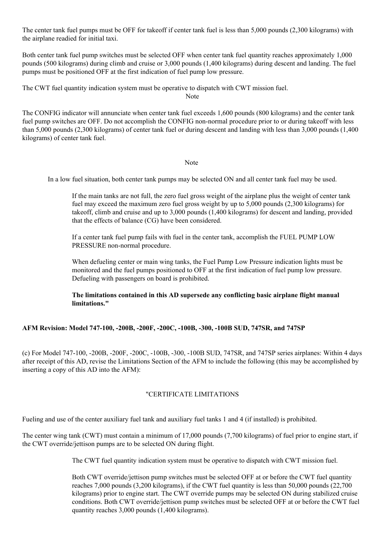The center tank fuel pumps must be OFF for takeoff if center tank fuel is less than 5,000 pounds (2,300 kilograms) with the airplane readied for initial taxi.

Both center tank fuel pump switches must be selected OFF when center tank fuel quantity reaches approximately 1,000 pounds (500 kilograms) during climb and cruise or 3,000 pounds (1,400 kilograms) during descent and landing. The fuel pumps must be positioned OFF at the first indication of fuel pump low pressure.

The CWT fuel quantity indication system must be operative to dispatch with CWT mission fuel.

Note

The CONFIG indicator will annunciate when center tank fuel exceeds 1,600 pounds (800 kilograms) and the center tank fuel pump switches are OFF. Do not accomplish the CONFIG non-normal procedure prior to or during takeoff with less than 5,000 pounds (2,300 kilograms) of center tank fuel or during descent and landing with less than 3,000 pounds (1,400 kilograms) of center tank fuel.

#### Note

In a low fuel situation, both center tank pumps may be selected ON and all center tank fuel may be used.

If the main tanks are not full, the zero fuel gross weight of the airplane plus the weight of center tank fuel may exceed the maximum zero fuel gross weight by up to 5,000 pounds (2,300 kilograms) for takeoff, climb and cruise and up to 3,000 pounds (1,400 kilograms) for descent and landing, provided that the effects of balance (CG) have been considered.

If a center tank fuel pump fails with fuel in the center tank, accomplish the FUEL PUMP LOW PRESSURE non-normal procedure.

When defueling center or main wing tanks, the Fuel Pump Low Pressure indication lights must be monitored and the fuel pumps positioned to OFF at the first indication of fuel pump low pressure. Defueling with passengers on board is prohibited.

# **The limitations contained in this AD supersede any conflicting basic airplane flight manual limitations."**

## **AFM Revision: Model 747100, 200B, 200F, 200C, 100B, 300, 100B SUD, 747SR, and 747SP**

(c) For Model 747100, 200B, 200F, 200C, 100B, 300, 100B SUD, 747SR, and 747SP series airplanes: Within 4 days after receipt of this AD, revise the Limitations Section of the AFM to include the following (this may be accomplished by inserting a copy of this AD into the AFM):

## "CERTIFICATE LIMITATIONS

Fueling and use of the center auxiliary fuel tank and auxiliary fuel tanks 1 and 4 (if installed) is prohibited.

The center wing tank (CWT) must contain a minimum of 17,000 pounds (7,700 kilograms) of fuel prior to engine start, if the CWT override/jettison pumps are to be selected ON during flight.

The CWT fuel quantity indication system must be operative to dispatch with CWT mission fuel.

Both CWT override/jettison pump switches must be selected OFF at or before the CWT fuel quantity reaches 7,000 pounds (3,200 kilograms), if the CWT fuel quantity is less than 50,000 pounds (22,700 kilograms) prior to engine start. The CWT override pumps may be selected ON during stabilized cruise conditions. Both CWT override/jettison pump switches must be selected OFF at or before the CWT fuel quantity reaches 3,000 pounds (1,400 kilograms).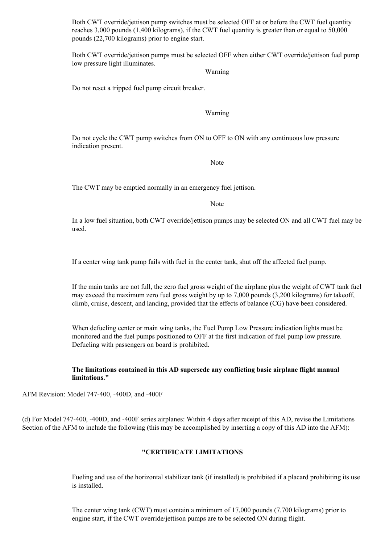Both CWT override/jettison pump switches must be selected OFF at or before the CWT fuel quantity reaches 3,000 pounds (1,400 kilograms), if the CWT fuel quantity is greater than or equal to 50,000 pounds (22,700 kilograms) prior to engine start.

Both CWT override/jettison pumps must be selected OFF when either CWT override/jettison fuel pump low pressure light illuminates.

#### Warning

Do not reset a tripped fuel pump circuit breaker.

#### Warning

Do not cycle the CWT pump switches from ON to OFF to ON with any continuous low pressure indication present.

Note

The CWT may be emptied normally in an emergency fuel jettison.

Note

In a low fuel situation, both CWT override/jettison pumps may be selected ON and all CWT fuel may be used.

If a center wing tank pump fails with fuel in the center tank, shut off the affected fuel pump.

If the main tanks are not full, the zero fuel gross weight of the airplane plus the weight of CWT tank fuel may exceed the maximum zero fuel gross weight by up to 7,000 pounds (3,200 kilograms) for takeoff, climb, cruise, descent, and landing, provided that the effects of balance (CG) have been considered.

When defueling center or main wing tanks, the Fuel Pump Low Pressure indication lights must be monitored and the fuel pumps positioned to OFF at the first indication of fuel pump low pressure. Defueling with passengers on board is prohibited.

### **The limitations contained in this AD supersede any conflicting basic airplane flight manual limitations."**

AFM Revision: Model 747-400, -400D, and -400F

(d) For Model 747400, 400D, and 400F series airplanes: Within 4 days after receipt of this AD, revise the Limitations Section of the AFM to include the following (this may be accomplished by inserting a copy of this AD into the AFM):

#### **"CERTIFICATE LIMITATIONS**

Fueling and use of the horizontal stabilizer tank (if installed) is prohibited if a placard prohibiting its use is installed.

The center wing tank (CWT) must contain a minimum of 17,000 pounds (7,700 kilograms) prior to engine start, if the CWT override/jettison pumps are to be selected ON during flight.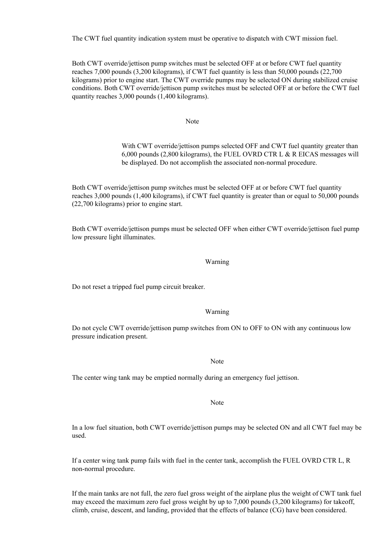The CWT fuel quantity indication system must be operative to dispatch with CWT mission fuel.

Both CWT override/jettison pump switches must be selected OFF at or before CWT fuel quantity reaches 7,000 pounds (3,200 kilograms), if CWT fuel quantity is less than 50,000 pounds (22,700 kilograms) prior to engine start. The CWT override pumps may be selected ON during stabilized cruise conditions. Both CWT override/jettison pump switches must be selected OFF at or before the CWT fuel quantity reaches 3,000 pounds (1,400 kilograms).

Note

With CWT override/jettison pumps selected OFF and CWT fuel quantity greater than 6,000 pounds (2,800 kilograms), the FUEL OVRD CTR L & R EICAS messages will be displayed. Do not accomplish the associated non-normal procedure.

Both CWT override/jettison pump switches must be selected OFF at or before CWT fuel quantity reaches 3,000 pounds (1,400 kilograms), if CWT fuel quantity is greater than or equal to 50,000 pounds (22,700 kilograms) prior to engine start.

Both CWT override/jettison pumps must be selected OFF when either CWT override/jettison fuel pump low pressure light illuminates.

#### Warning

Do not reset a tripped fuel pump circuit breaker.

#### Warning

Do not cycle CWT override/jettison pump switches from ON to OFF to ON with any continuous low pressure indication present.

#### Note

The center wing tank may be emptied normally during an emergency fuel jettison.

Note

In a low fuel situation, both CWT override/jettison pumps may be selected ON and all CWT fuel may be used.

If a center wing tank pump fails with fuel in the center tank, accomplish the FUEL OVRD CTR L, R non-normal procedure.

If the main tanks are not full, the zero fuel gross weight of the airplane plus the weight of CWT tank fuel may exceed the maximum zero fuel gross weight by up to 7,000 pounds (3,200 kilograms) for takeoff, climb, cruise, descent, and landing, provided that the effects of balance (CG) have been considered.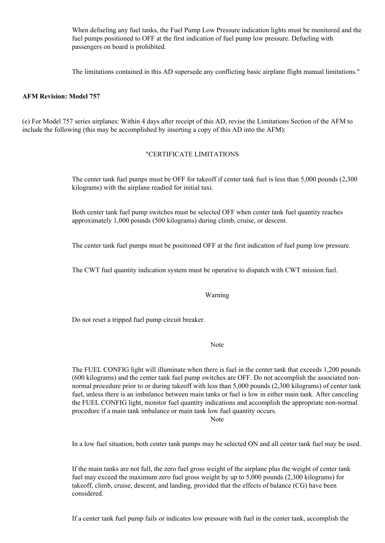When defueling any fuel tanks, the Fuel Pump Low Pressure indication lights must be monitored and the fuel pumps positioned to OFF at the first indication of fuel pump low pressure. Defueling with passengers on board is prohibited.

The limitations contained in this AD supersede any conflicting basic airplane flight manual limitations."

#### **AFM Revision: Model 757**

(e) For Model 757 series airplanes: Within 4 days after receipt of this AD, revise the Limitations Section of the AFM to include the following (this may be accomplished by inserting a copy of this AD into the AFM):

#### "CERTIFICATE LIMITATIONS

The center tank fuel pumps must be OFF for takeoff if center tank fuel is less than 5,000 pounds (2,300 kilograms) with the airplane readied for initial taxi.

Both center tank fuel pump switches must be selected OFF when center tank fuel quantity reaches approximately 1,000 pounds (500 kilograms) during climb, cruise, or descent.

The center tank fuel pumps must be positioned OFF at the first indication of fuel pump low pressure.

The CWT fuel quantity indication system must be operative to dispatch with CWT mission fuel.

#### Warning

Do not reset a tripped fuel pump circuit breaker.

# Note

The FUEL CONFIG light will illuminate when there is fuel in the center tank that exceeds 1,200 pounds (600 kilograms) and the center tank fuel pump switches are OFF. Do not accomplish the associated nonnormal procedure prior to or during takeoff with less than 5,000 pounds (2,300 kilograms) of center tank fuel, unless there is an imbalance between main tanks or fuel is low in either main tank. After canceling the FUEL CONFIG light, monitor fuel quantity indications and accomplish the appropriate non-normal procedure if a main tank imbalance or main tank low fuel quantity occurs.

Note

In a low fuel situation, both center tank pumps may be selected ON and all center tank fuel may be used.

If the main tanks are not full, the zero fuel gross weight of the airplane plus the weight of center tank fuel may exceed the maximum zero fuel gross weight by up to 5,000 pounds (2,300 kilograms) for takeoff, climb, cruise, descent, and landing, provided that the effects of balance (CG) have been considered.

If a center tank fuel pump fails or indicates low pressure with fuel in the center tank, accomplish the